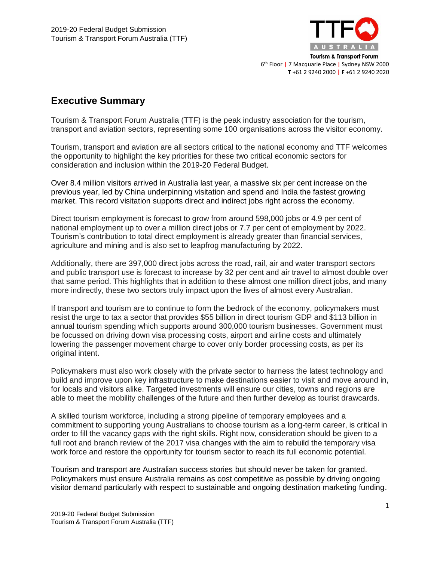

# **Executive Summary**

Tourism & Transport Forum Australia (TTF) is the peak industry association for the tourism, transport and aviation sectors, representing some 100 organisations across the visitor economy.

Tourism, transport and aviation are all sectors critical to the national economy and TTF welcomes the opportunity to highlight the key priorities for these two critical economic sectors for consideration and inclusion within the 2019-20 Federal Budget.

Over 8.4 million visitors arrived in Australia last year, a massive six per cent increase on the previous year, led by China underpinning visitation and spend and India the fastest growing market. This record visitation supports direct and indirect jobs right across the economy.

Direct tourism employment is forecast to grow from around 598,000 jobs or 4.9 per cent of national employment up to over a million direct jobs or 7.7 per cent of employment by 2022. Tourism's contribution to total direct employment is already greater than financial services, agriculture and mining and is also set to leapfrog manufacturing by 2022.

Additionally, there are 397,000 direct jobs across the road, rail, air and water transport sectors and public transport use is forecast to increase by 32 per cent and air travel to almost double over that same period. This highlights that in addition to these almost one million direct jobs, and many more indirectly, these two sectors truly impact upon the lives of almost every Australian.

If transport and tourism are to continue to form the bedrock of the economy, policymakers must resist the urge to tax a sector that provides \$55 billion in direct tourism GDP and \$113 billion in annual tourism spending which supports around 300,000 tourism businesses. Government must be focussed on driving down visa processing costs, airport and airline costs and ultimately lowering the passenger movement charge to cover only border processing costs, as per its original intent.

Policymakers must also work closely with the private sector to harness the latest technology and build and improve upon key infrastructure to make destinations easier to visit and move around in, for locals and visitors alike. Targeted investments will ensure our cities, towns and regions are able to meet the mobility challenges of the future and then further develop as tourist drawcards.

A skilled tourism workforce, including a strong pipeline of temporary employees and a commitment to supporting young Australians to choose tourism as a long-term career, is critical in order to fill the vacancy gaps with the right skills. Right now, consideration should be given to a full root and branch review of the 2017 visa changes with the aim to rebuild the temporary visa work force and restore the opportunity for tourism sector to reach its full economic potential.

Tourism and transport are Australian success stories but should never be taken for granted. Policymakers must ensure Australia remains as cost competitive as possible by driving ongoing visitor demand particularly with respect to sustainable and ongoing destination marketing funding.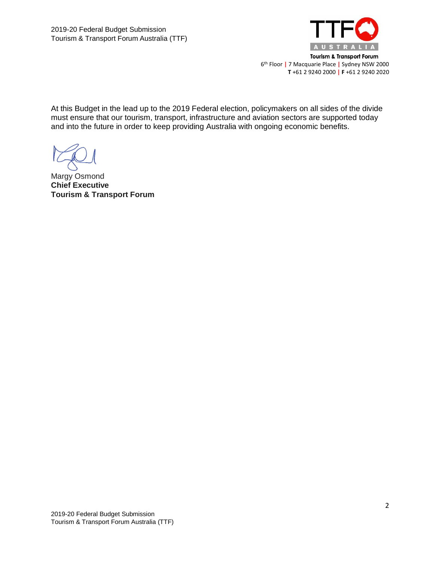

At this Budget in the lead up to the 2019 Federal election, policymakers on all sides of the divide must ensure that our tourism, transport, infrastructure and aviation sectors are supported today and into the future in order to keep providing Australia with ongoing economic benefits.

Margy Osmond **Chief Executive Tourism & Transport Forum**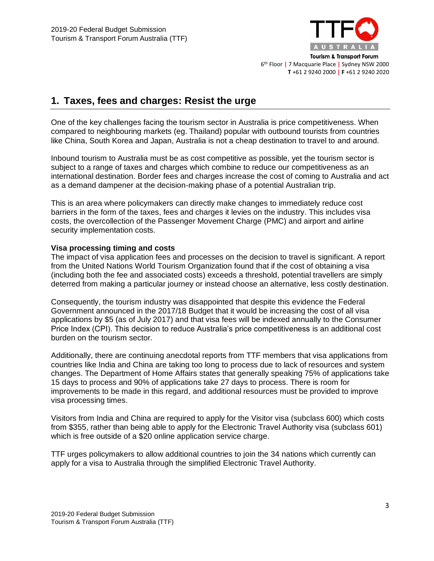

# **1. Taxes, fees and charges: Resist the urge**

One of the key challenges facing the tourism sector in Australia is price competitiveness. When compared to neighbouring markets (eg. Thailand) popular with outbound tourists from countries like China, South Korea and Japan, Australia is not a cheap destination to travel to and around.

Inbound tourism to Australia must be as cost competitive as possible, yet the tourism sector is subject to a range of taxes and charges which combine to reduce our competitiveness as an international destination. Border fees and charges increase the cost of coming to Australia and act as a demand dampener at the decision-making phase of a potential Australian trip.

This is an area where policymakers can directly make changes to immediately reduce cost barriers in the form of the taxes, fees and charges it levies on the industry. This includes visa costs, the overcollection of the Passenger Movement Charge (PMC) and airport and airline security implementation costs.

## **Visa processing timing and costs**

The impact of visa application fees and processes on the decision to travel is significant. A report from the United Nations World Tourism Organization found that if the cost of obtaining a visa (including both the fee and associated costs) exceeds a threshold, potential travellers are simply deterred from making a particular journey or instead choose an alternative, less costly destination.

Consequently, the tourism industry was disappointed that despite this evidence the Federal Government announced in the 2017/18 Budget that it would be increasing the cost of all visa applications by \$5 (as of July 2017) and that visa fees will be indexed annually to the Consumer Price Index (CPI). This decision to reduce Australia's price competitiveness is an additional cost burden on the tourism sector.

Additionally, there are continuing anecdotal reports from TTF members that visa applications from countries like India and China are taking too long to process due to lack of resources and system changes. The Department of Home Affairs states that generally speaking 75% of applications take 15 days to process and 90% of applications take 27 days to process. There is room for improvements to be made in this regard, and additional resources must be provided to improve visa processing times.

Visitors from India and China are required to apply for the Visitor visa (subclass 600) which costs from \$355, rather than being able to apply for the Electronic Travel Authority visa (subclass 601) which is free outside of a \$20 online application service charge.

TTF urges policymakers to allow additional countries to join the 34 nations which currently can apply for a visa to Australia through the simplified Electronic Travel Authority.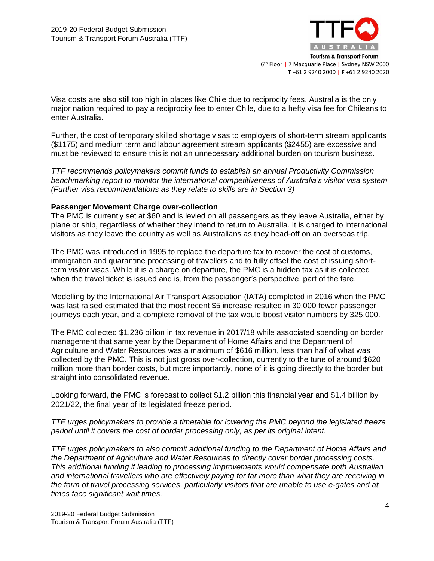

Visa costs are also still too high in places like Chile due to reciprocity fees. Australia is the only major nation required to pay a reciprocity fee to enter Chile, due to a hefty visa fee for Chileans to enter Australia.

Further, the cost of temporary skilled shortage visas to employers of short-term stream applicants (\$1175) and medium term and labour agreement stream applicants (\$2455) are excessive and must be reviewed to ensure this is not an unnecessary additional burden on tourism business.

*TTF recommends policymakers commit funds to establish an annual Productivity Commission benchmarking report to monitor the international competitiveness of Australia's visitor visa system (Further visa recommendations as they relate to skills are in Section 3)* 

#### **Passenger Movement Charge over-collection**

The PMC is currently set at \$60 and is levied on all passengers as they leave Australia, either by plane or ship, regardless of whether they intend to return to Australia. It is charged to international visitors as they leave the country as well as Australians as they head-off on an overseas trip.

The PMC was introduced in 1995 to replace the departure tax to recover the cost of customs, immigration and quarantine processing of travellers and to fully offset the cost of issuing shortterm visitor visas. While it is a charge on departure, the PMC is a hidden tax as it is collected when the travel ticket is issued and is, from the passenger's perspective, part of the fare.

Modelling by the International Air Transport Association (IATA) completed in 2016 when the PMC was last raised estimated that the most recent \$5 increase resulted in 30,000 fewer passenger journeys each year, and a complete removal of the tax would boost visitor numbers by 325,000.

The PMC collected \$1.236 billion in tax revenue in 2017/18 while associated spending on border management that same year by the Department of Home Affairs and the Department of Agriculture and Water Resources was a maximum of \$616 million, less than half of what was collected by the PMC. This is not just gross over-collection, currently to the tune of around \$620 million more than border costs, but more importantly, none of it is going directly to the border but straight into consolidated revenue.

Looking forward, the PMC is forecast to collect \$1.2 billion this financial year and \$1.4 billion by 2021/22, the final year of its legislated freeze period.

*TTF urges policymakers to provide a timetable for lowering the PMC beyond the legislated freeze period until it covers the cost of border processing only, as per its original intent.*

*TTF urges policymakers to also commit additional funding to the Department of Home Affairs and the Department of Agriculture and Water Resources to directly cover border processing costs. This additional funding if leading to processing improvements would compensate both Australian and international travellers who are effectively paying for far more than what they are receiving in the form of travel processing services, particularly visitors that are unable to use e-gates and at times face significant wait times.*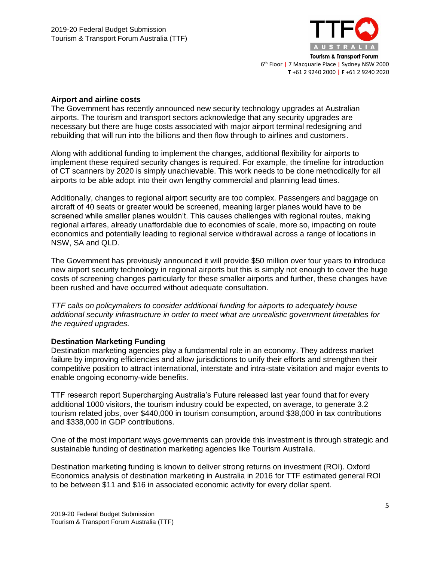

## **Airport and airline costs**

The Government has recently announced new security technology upgrades at Australian airports. The tourism and transport sectors acknowledge that any security upgrades are necessary but there are huge costs associated with major airport terminal redesigning and rebuilding that will run into the billions and then flow through to airlines and customers.

Along with additional funding to implement the changes, additional flexibility for airports to implement these required security changes is required. For example, the timeline for introduction of CT scanners by 2020 is simply unachievable. This work needs to be done methodically for all airports to be able adopt into their own lengthy commercial and planning lead times.

Additionally, changes to regional airport security are too complex. Passengers and baggage on aircraft of 40 seats or greater would be screened, meaning larger planes would have to be screened while smaller planes wouldn't. This causes challenges with regional routes, making regional airfares, already unaffordable due to economies of scale, more so, impacting on route economics and potentially leading to regional service withdrawal across a range of locations in NSW, SA and QLD.

The Government has previously announced it will provide \$50 million over four years to introduce new airport security technology in regional airports but this is simply not enough to cover the huge costs of screening changes particularly for these smaller airports and further, these changes have been rushed and have occurred without adequate consultation.

*TTF calls on policymakers to consider additional funding for airports to adequately house additional security infrastructure in order to meet what are unrealistic government timetables for the required upgrades.*

## **Destination Marketing Funding**

Destination marketing agencies play a fundamental role in an economy. They address market failure by improving efficiencies and allow jurisdictions to unify their efforts and strengthen their competitive position to attract international, interstate and intra-state visitation and major events to enable ongoing economy-wide benefits.

TTF research report Supercharging Australia's Future released last year found that for every additional 1000 visitors, the tourism industry could be expected, on average, to generate 3.2 tourism related jobs, over \$440,000 in tourism consumption, around \$38,000 in tax contributions and \$338,000 in GDP contributions.

One of the most important ways governments can provide this investment is through strategic and sustainable funding of destination marketing agencies like Tourism Australia.

Destination marketing funding is known to deliver strong returns on investment (ROI). Oxford Economics analysis of destination marketing in Australia in 2016 for TTF estimated general ROI to be between \$11 and \$16 in associated economic activity for every dollar spent.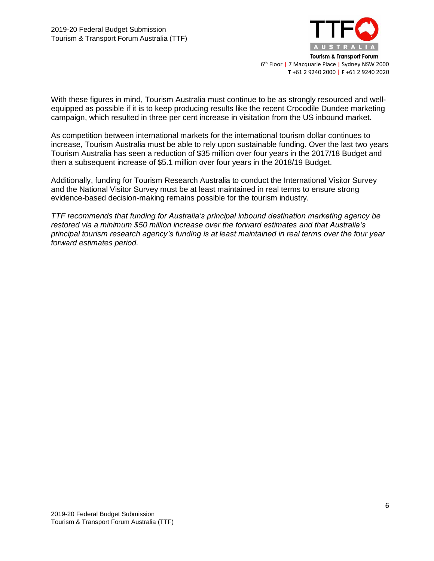

With these figures in mind, Tourism Australia must continue to be as strongly resourced and wellequipped as possible if it is to keep producing results like the recent Crocodile Dundee marketing campaign, which resulted in three per cent increase in visitation from the US inbound market.

As competition between international markets for the international tourism dollar continues to increase, Tourism Australia must be able to rely upon sustainable funding. Over the last two years Tourism Australia has seen a reduction of \$35 million over four years in the 2017/18 Budget and then a subsequent increase of \$5.1 million over four years in the 2018/19 Budget.

Additionally, funding for Tourism Research Australia to conduct the International Visitor Survey and the National Visitor Survey must be at least maintained in real terms to ensure strong evidence-based decision-making remains possible for the tourism industry.

*TTF recommends that funding for Australia's principal inbound destination marketing agency be restored via a minimum \$50 million increase over the forward estimates and that Australia's principal tourism research agency's funding is at least maintained in real terms over the four year forward estimates period.*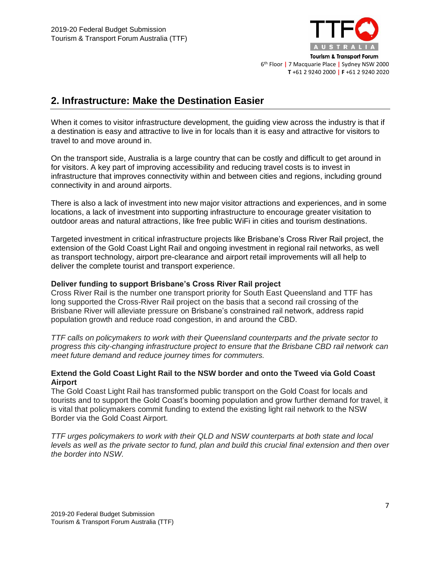

## **2. Infrastructure: Make the Destination Easier**

When it comes to visitor infrastructure development, the guiding view across the industry is that if a destination is easy and attractive to live in for locals than it is easy and attractive for visitors to travel to and move around in.

On the transport side, Australia is a large country that can be costly and difficult to get around in for visitors. A key part of improving accessibility and reducing travel costs is to invest in infrastructure that improves connectivity within and between cities and regions, including ground connectivity in and around airports.

There is also a lack of investment into new major visitor attractions and experiences, and in some locations, a lack of investment into supporting infrastructure to encourage greater visitation to outdoor areas and natural attractions, like free public WiFi in cities and tourism destinations.

Targeted investment in critical infrastructure projects like Brisbane's Cross River Rail project, the extension of the Gold Coast Light Rail and ongoing investment in regional rail networks, as well as transport technology, airport pre-clearance and airport retail improvements will all help to deliver the complete tourist and transport experience.

## **Deliver funding to support Brisbane's Cross River Rail project**

Cross River Rail is the number one transport priority for South East Queensland and TTF has long supported the Cross-River Rail project on the basis that a second rail crossing of the Brisbane River will alleviate pressure on Brisbane's constrained rail network, address rapid population growth and reduce road congestion, in and around the CBD.

*TTF calls on policymakers to work with their Queensland counterparts and the private sector to progress this city-changing infrastructure project to ensure that the Brisbane CBD rail network can meet future demand and reduce journey times for commuters.*

## **Extend the Gold Coast Light Rail to the NSW border and onto the Tweed via Gold Coast Airport**

The Gold Coast Light Rail has transformed public transport on the Gold Coast for locals and tourists and to support the Gold Coast's booming population and grow further demand for travel, it is vital that policymakers commit funding to extend the existing light rail network to the NSW Border via the Gold Coast Airport.

*TTF urges policymakers to work with their QLD and NSW counterparts at both state and local levels as well as the private sector to fund, plan and build this crucial final extension and then over the border into NSW.*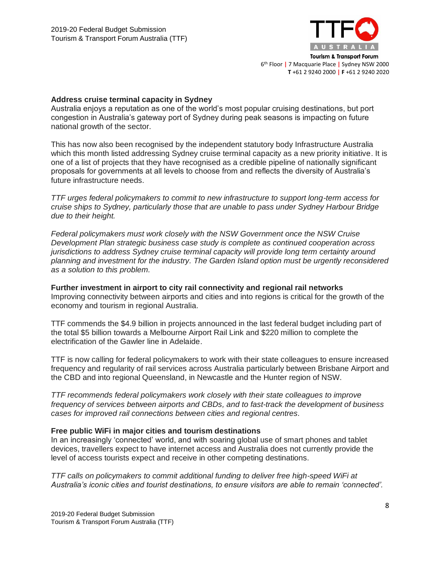

#### **Address cruise terminal capacity in Sydney**

Australia enjoys a reputation as one of the world's most popular cruising destinations, but port congestion in Australia's gateway port of Sydney during peak seasons is impacting on future national growth of the sector.

This has now also been recognised by the independent statutory body Infrastructure Australia which this month listed addressing Sydney cruise terminal capacity as a new priority initiative. It is one of a list of projects that they have recognised as a credible pipeline of nationally significant proposals for governments at all levels to choose from and reflects the diversity of Australia's future infrastructure needs.

*TTF urges federal policymakers to commit to new infrastructure to support long-term access for cruise ships to Sydney, particularly those that are unable to pass under Sydney Harbour Bridge due to their height.* 

*Federal policymakers must work closely with the NSW Government once the NSW Cruise Development Plan strategic business case study is complete as continued cooperation across jurisdictions to address Sydney cruise terminal capacity will provide long term certainty around planning and investment for the industry. The Garden Island option must be urgently reconsidered as a solution to this problem.*

**Further investment in airport to city rail connectivity and regional rail networks** Improving connectivity between airports and cities and into regions is critical for the growth of the economy and tourism in regional Australia.

TTF commends the \$4.9 billion in projects announced in the last federal budget including part of the total \$5 billion towards a Melbourne Airport Rail Link and \$220 million to complete the electrification of the Gawler line in Adelaide.

TTF is now calling for federal policymakers to work with their state colleagues to ensure increased frequency and regularity of rail services across Australia particularly between Brisbane Airport and the CBD and into regional Queensland, in Newcastle and the Hunter region of NSW.

*TTF recommends federal policymakers work closely with their state colleagues to improve frequency of services between airports and CBDs, and to fast-track the development of business cases for improved rail connections between cities and regional centres.*

## **Free public WiFi in major cities and tourism destinations**

In an increasingly 'connected' world, and with soaring global use of smart phones and tablet devices, travellers expect to have internet access and Australia does not currently provide the level of access tourists expect and receive in other competing destinations.

*TTF calls on policymakers to commit additional funding to deliver free high-speed WiFi at Australia's iconic cities and tourist destinations, to ensure visitors are able to remain 'connected'.*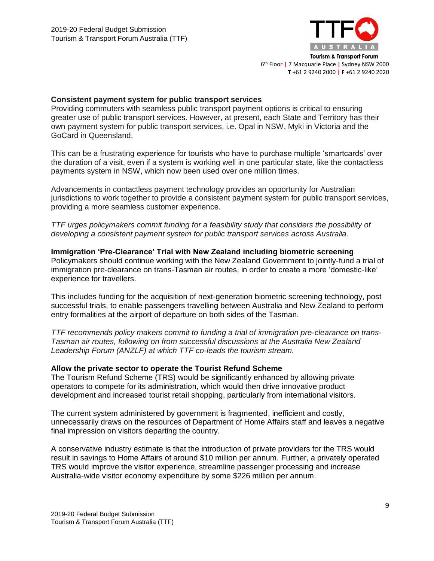

#### **Consistent payment system for public transport services**

Providing commuters with seamless public transport payment options is critical to ensuring greater use of public transport services. However, at present, each State and Territory has their own payment system for public transport services, i.e. Opal in NSW, Myki in Victoria and the GoCard in Queensland.

This can be a frustrating experience for tourists who have to purchase multiple 'smartcards' over the duration of a visit, even if a system is working well in one particular state, like the contactless payments system in NSW, which now been used over one million times.

Advancements in contactless payment technology provides an opportunity for Australian jurisdictions to work together to provide a consistent payment system for public transport services, providing a more seamless customer experience.

*TTF urges policymakers commit funding for a feasibility study that considers the possibility of developing a consistent payment system for public transport services across Australia.*

**Immigration 'Pre-Clearance' Trial with New Zealand including biometric screening** Policymakers should continue working with the New Zealand Government to jointly-fund a trial of immigration pre-clearance on trans-Tasman air routes, in order to create a more 'domestic-like' experience for travellers.

This includes funding for the acquisition of next-generation biometric screening technology, post successful trials, to enable passengers travelling between Australia and New Zealand to perform entry formalities at the airport of departure on both sides of the Tasman.

*TTF recommends policy makers commit to funding a trial of immigration pre-clearance on trans-Tasman air routes, following on from successful discussions at the Australia New Zealand Leadership Forum (ANZLF) at which TTF co-leads the tourism stream.*

## **Allow the private sector to operate the Tourist Refund Scheme**

The Tourism Refund Scheme (TRS) would be significantly enhanced by allowing private operators to compete for its administration, which would then drive innovative product development and increased tourist retail shopping, particularly from international visitors.

The current system administered by government is fragmented, inefficient and costly, unnecessarily draws on the resources of Department of Home Affairs staff and leaves a negative final impression on visitors departing the country.

A conservative industry estimate is that the introduction of private providers for the TRS would result in savings to Home Affairs of around \$10 million per annum. Further, a privately operated TRS would improve the visitor experience, streamline passenger processing and increase Australia-wide visitor economy expenditure by some \$226 million per annum.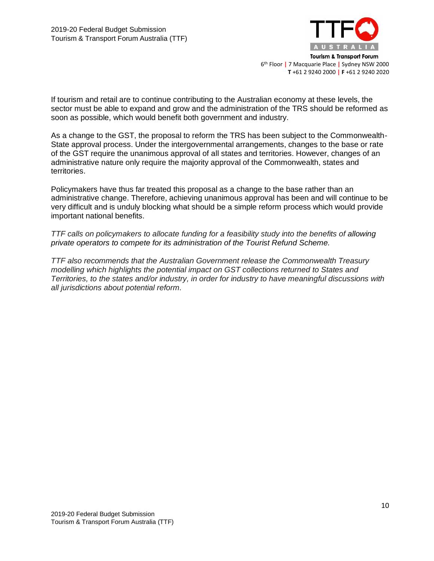

If tourism and retail are to continue contributing to the Australian economy at these levels, the sector must be able to expand and grow and the administration of the TRS should be reformed as soon as possible, which would benefit both government and industry.

As a change to the GST, the proposal to reform the TRS has been subject to the Commonwealth-State approval process. Under the intergovernmental arrangements, changes to the base or rate of the GST require the unanimous approval of all states and territories. However, changes of an administrative nature only require the majority approval of the Commonwealth, states and territories.

Policymakers have thus far treated this proposal as a change to the base rather than an administrative change. Therefore, achieving unanimous approval has been and will continue to be very difficult and is unduly blocking what should be a simple reform process which would provide important national benefits.

*TTF calls on policymakers to allocate funding for a feasibility study into the benefits of allowing private operators to compete for its administration of the Tourist Refund Scheme.*

*TTF also recommends that the Australian Government release the Commonwealth Treasury modelling which highlights the potential impact on GST collections returned to States and Territories, to the states and/or industry, in order for industry to have meaningful discussions with all jurisdictions about potential reform.*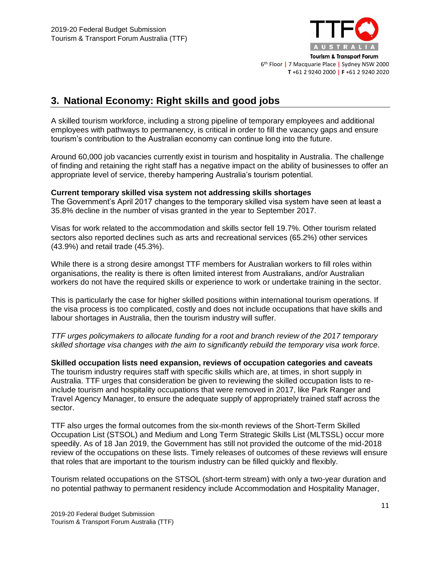

# **3. National Economy: Right skills and good jobs**

A skilled tourism workforce, including a strong pipeline of temporary employees and additional employees with pathways to permanency, is critical in order to fill the vacancy gaps and ensure tourism's contribution to the Australian economy can continue long into the future.

Around 60,000 job vacancies currently exist in tourism and hospitality in Australia. The challenge of finding and retaining the right staff has a negative impact on the ability of businesses to offer an appropriate level of service, thereby hampering Australia's tourism potential.

## **Current temporary skilled visa system not addressing skills shortages**

The Government's April 2017 changes to the temporary skilled visa system have seen at least a 35.8% decline in the number of visas granted in the year to September 2017.

Visas for work related to the accommodation and skills sector fell 19.7%. Other tourism related sectors also reported declines such as arts and recreational services (65.2%) other services (43.9%) and retail trade (45.3%).

While there is a strong desire amongst TTF members for Australian workers to fill roles within organisations, the reality is there is often limited interest from Australians, and/or Australian workers do not have the required skills or experience to work or undertake training in the sector.

This is particularly the case for higher skilled positions within international tourism operations. If the visa process is too complicated, costly and does not include occupations that have skills and labour shortages in Australia, then the tourism industry will suffer.

*TTF urges policymakers to allocate funding for a root and branch review of the 2017 temporary skilled shortage visa changes with the aim to significantly rebuild the temporary visa work force.*

**Skilled occupation lists need expansion, reviews of occupation categories and caveats**  The tourism industry requires staff with specific skills which are, at times, in short supply in Australia. TTF urges that consideration be given to reviewing the skilled occupation lists to reinclude tourism and hospitality occupations that were removed in 2017, like Park Ranger and Travel Agency Manager, to ensure the adequate supply of appropriately trained staff across the sector.

TTF also urges the formal outcomes from the six-month reviews of the Short-Term Skilled Occupation List (STSOL) and Medium and Long Term Strategic Skills List (MLTSSL) occur more speedily. As of 18 Jan 2019, the Government has still not provided the outcome of the mid-2018 review of the occupations on these lists. Timely releases of outcomes of these reviews will ensure that roles that are important to the tourism industry can be filled quickly and flexibly.

Tourism related occupations on the STSOL (short-term stream) with only a two-year duration and no potential pathway to permanent residency include Accommodation and Hospitality Manager,